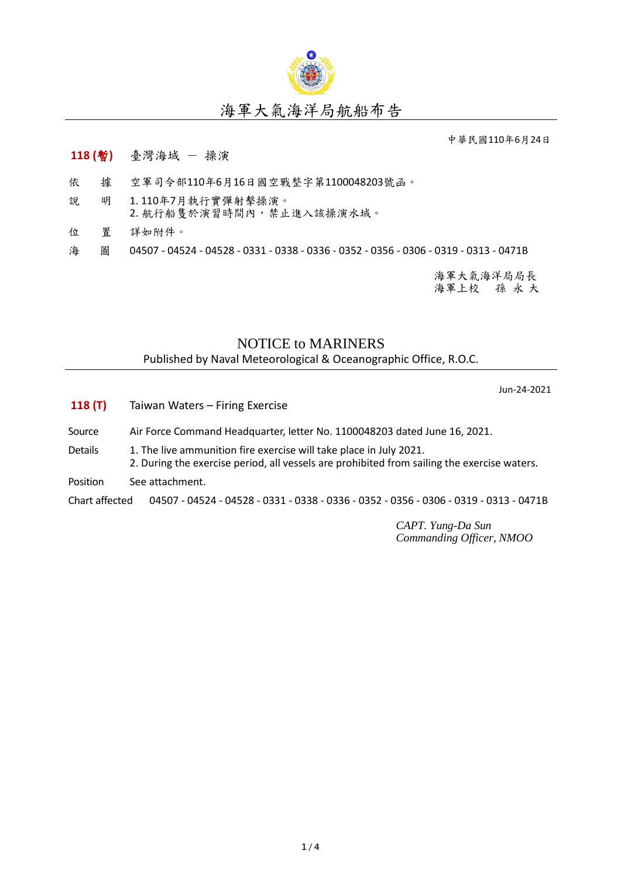

## 海軍大氣海洋局航船布告

中華民國110年6月24日

## **118 (**暫**)** 臺灣海域 - 操演

- 依 據 空軍司令部110年6月16日國空戰整字第1100048203號函。
- 說 明 1. 110年7月執行實彈射擊操演。 2. 航行船隻於演習時間內,禁止進入該操演水域。
- 位 置 詳如附件。

海 圖 04507 - 04524 - 04528 - 0331 - 0338 - 0336 - 0352 - 0356 - 0306 - 0319 - 0313 - 0471B

海軍大氣海洋局局長 海軍上校 孫 永 大

## NOTICE to MARINERS

Published by Naval Meteorological & Oceanographic Office, R.O.C.

Jun-24-2021

- **118 (T)** Taiwan Waters Firing Exercise
- Source Air Force Command Headquarter, letter No. 1100048203 dated June 16, 2021.
- Details 1. The live ammunition fire exercise will take place in July 2021.
	- 2. During the exercise period, all vessels are prohibited from sailing the exercise waters.
- Position See attachment.

Chart affected 04507 - 04524 - 04528 - 0331 - 0338 - 0336 - 0352 - 0356 - 0306 - 0319 - 0313 - 0471B

*CAPT. Yung-Da Sun Commanding Officer, NMOO*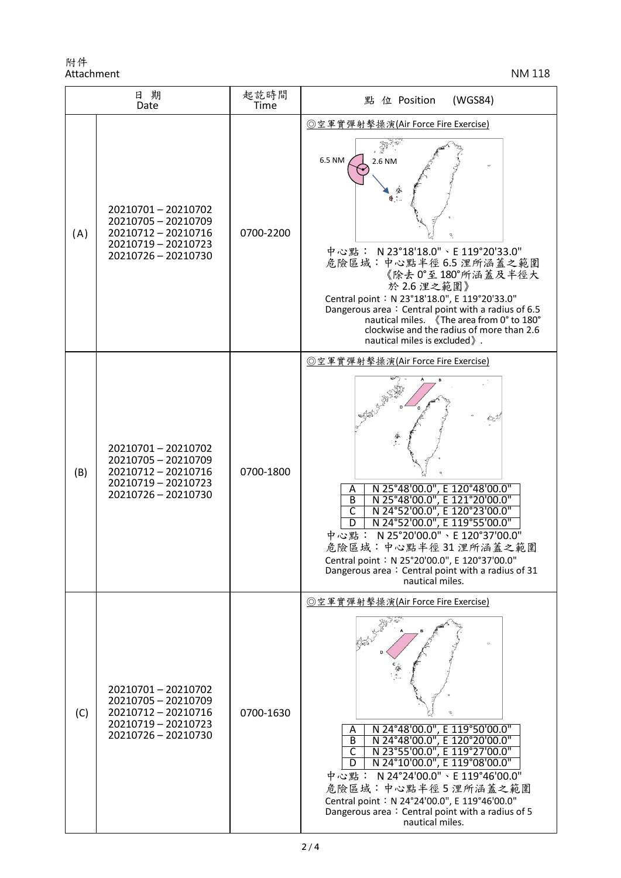附件 Attachment NM 118

| 日期<br>Date |                                                                                                               | 起訖時間<br>Time | 點 位 Position<br>(WGS84)                                                                                                                                                                                                                                                                                                                                                                     |
|------------|---------------------------------------------------------------------------------------------------------------|--------------|---------------------------------------------------------------------------------------------------------------------------------------------------------------------------------------------------------------------------------------------------------------------------------------------------------------------------------------------------------------------------------------------|
| (A)        | 20210701-20210702<br>20210705 - 20210709<br>20210712 - 20210716<br>20210719 - 20210723<br>20210726 - 20210730 | 0700-2200    | ◎空軍實彈射擊操演(Air Force Fire Exercise)<br>6.5 NM<br>2.6 NM<br>中心點: N 23°18'18.0"、E 119°20'33.0"<br>危險區域:中心點半徑6.5浬所涵蓋之範圍<br>《除去0°至180°所涵蓋及半徑大<br>於 2.6 浬之範圍》<br>Central point: N 23°18'18.0", E 119°20'33.0"<br>Dangerous area: Central point with a radius of 6.5<br>nautical miles. 《The area from 0° to 180°<br>clockwise and the radius of more than 2.6<br>nautical miles is excluded ).    |
| (B)        | 20210701-20210702<br>20210705 - 20210709<br>20210712 - 20210716<br>20210719 - 20210723<br>20210726 - 20210730 | 0700-1800    | ◎空軍實彈射擊操演(Air Force Fire Exercise)<br>N 25°48'00.0", E 120°48'00.0"<br>Α<br>$\overline{B}$<br>N 25°48'00.0", E 121°20'00.0"<br>N 24°52'00.0", E 120°23'00.0"<br>C<br>N 24°52'00.0", E 119°55'00.0"<br>D<br>中心點: N 25°20'00.0"、E 120°37'00.0"<br>危險區域:中心點半徑31浬所涵蓋之範圍<br>Central point: N 25°20'00.0", E 120°37'00.0"<br>Dangerous area: Central point with a radius of 31<br>nautical miles. |
| (C)        | 20210701-20210702<br>20210705 - 20210709<br>20210712 - 20210716<br>20210719 - 20210723<br>20210726 - 20210730 | 0700-1630    | ◎空軍實彈射擊操演(Air Force Fire Exercise)<br>N 24°48'00.0", E 119°50'00.0"<br>N 24°48'00.0", E 120°20'00.0"<br>Α<br>B<br>N 23°55'00.0", E 119°27'00.0"<br>C<br>N 24°10'00.0", E 119°08'00.0"<br>D<br>中心點: N 24°24'00.0"、E 119°46'00.0"<br>危險區域:中心點半徑5浬所涵蓋之範圍<br>Central point: N 24°24'00.0", E 119°46'00.0"<br>Dangerous area: Central point with a radius of 5<br>nautical miles.                |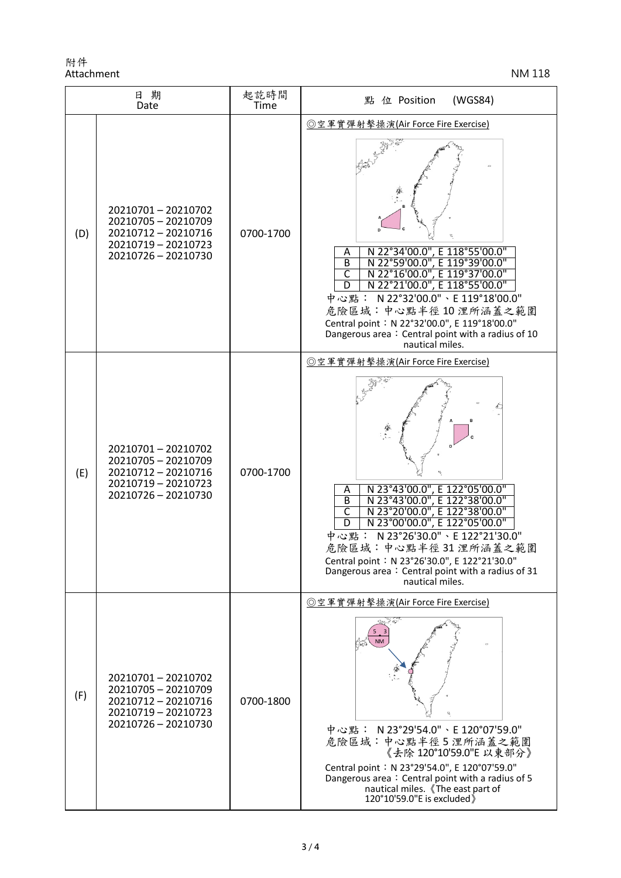附件 Attachment NM 118

| 日期<br>Date |                                                                                                               | 起訖時間<br>Time | (WGS84)<br>點<br>位 Position                                                                                                                                                                                                                                                                                                                                                                                                             |
|------------|---------------------------------------------------------------------------------------------------------------|--------------|----------------------------------------------------------------------------------------------------------------------------------------------------------------------------------------------------------------------------------------------------------------------------------------------------------------------------------------------------------------------------------------------------------------------------------------|
| (D)        | 20210701-20210702<br>20210705 - 20210709<br>20210712 - 20210716<br>20210719 - 20210723<br>20210726 - 20210730 | 0700-1700    | ◎空軍實彈射擊操演(Air Force Fire Exercise)<br>N 22°34'00.0", E 118°55'00.0"<br>A<br>$\overline{B}$<br>N 22°59'00.0", E 119°39'00.0"<br>$\overline{\mathsf{c}}$<br>N 22°16'00.0", E 119°37'00.0"<br>N 22°21'00.0", E 118°55'00.0"<br>D<br>中心點: N22°32'00.0"、E 119°18'00.0"<br>危險區域:中心點半徑10浬所涵蓋之範圍<br>Central point: N 22°32'00.0", E 119°18'00.0"<br>Dangerous area: Central point with a radius of 10<br>nautical miles.                       |
| (E)        | 20210701-20210702<br>20210705 - 20210709<br>20210712 - 20210716<br>20210719 - 20210723<br>20210726 - 20210730 | 0700-1700    | ◎空軍實彈射擊操演(Air Force Fire Exercise)<br>N 23°43'00.0", E 122°05'00.0"<br>A<br>$\overline{B}$<br>N 23°43'00.0", E 122°38'00.0"<br>$\overline{\mathsf{C}}$<br>N 23°20'00.0", E 122°38'00.0"<br>$\overline{\mathsf{D}}$<br>N 23°00'00.0", E 122°05'00.0"<br>中心點: N23°26'30.0"、E 122°21'30.0"<br>危險區域:中心點半徑31浬所涵蓋之範圍<br>Central point: N 23°26'30.0", E 122°21'30.0"<br>Dangerous area: Central point with a radius of 31<br>nautical miles. |
| (F)        | 20210701-20210702<br>20210705 - 20210709<br>20210712 - 20210716<br>20210719 - 20210723<br>20210726 - 20210730 | 0700-1800    | ◎空軍實彈射擊操演(Air Force Fire Exercise)<br>中心點: N 23°29'54.0"、E 120°07'59.0"<br>危險區域:中心點半徑5浬所涵蓋之範圍<br>《去除 120°10'59.0"E 以東部分》<br>Central point: N 23°29'54.0", E 120°07'59.0"<br>Dangerous area: Central point with a radius of 5<br>nautical miles. 《The east part of<br>120°10'59.0"E is excluded)                                                                                                                                        |